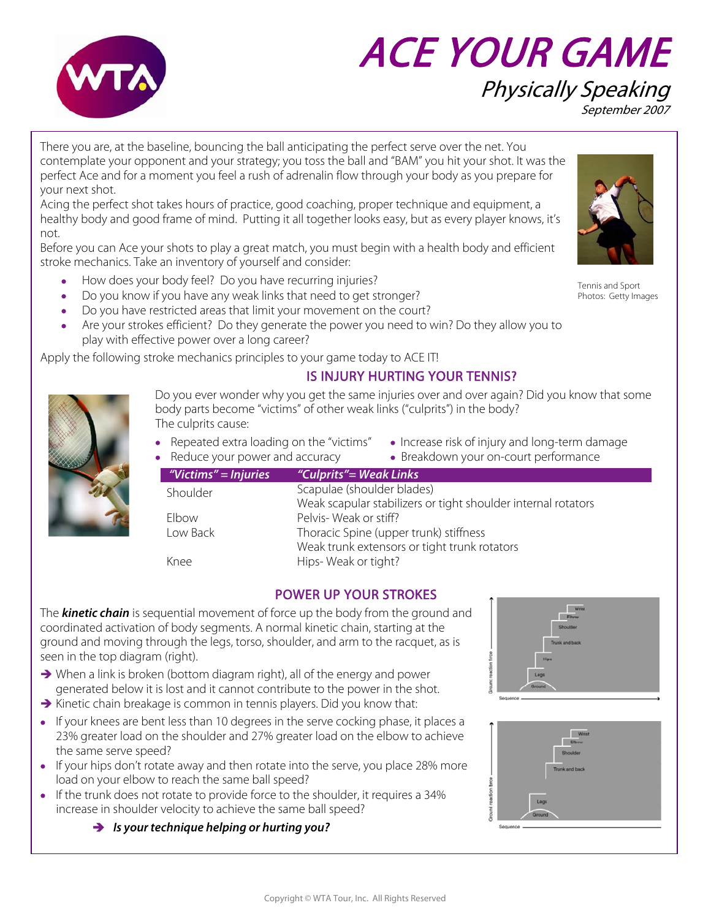

# ACE YOUR GAME Physically Speaking September 2007

There you are, at the baseline, bouncing the ball anticipating the perfect serve over the net. You contemplate your opponent and your strategy; you toss the ball and "BAM" you hit your shot. It was the perfect Ace and for a moment you feel a rush of adrenalin flow through your body as you prepare for your next shot.

Acing the perfect shot takes hours of practice, good coaching, proper technique and equipment, a healthy body and good frame of mind. Putting it all together looks easy, but as every player knows, it's not.

Before you can Ace your shots to play a great match, you must begin with a health body and efficient stroke mechanics. Take an inventory of yourself and consider:

- How does your body feel? Do you have recurring injuries?
- Do you know if you have any weak links that need to get stronger?
- Do you have restricted areas that limit your movement on the court?
- Are your strokes efficient? Do they generate the power you need to win? Do they allow you to play with effective power over a long career?

Apply the following stroke mechanics principles to your game today to ACE IT!

## IS INJURY HURTING YOUR TENNIS?

Do you ever wonder why you get the same injuries over and over again? Did you know that some body parts become "victims" of other weak links ("culprits") in the body? The culprits cause:

- Repeated extra loading on the "victims" Increase risk of injury and long-term damage
	-
- Reduce your power and accuracy Breakdown your on-court performance

| "Victims" = Injuries | "Culprits"= Weak Links                                        |
|----------------------|---------------------------------------------------------------|
| Shoulder             | Scapulae (shoulder blades)                                    |
|                      | Weak scapular stabilizers or tight shoulder internal rotators |
| Elbow                | Pelvis-Weak or stiff?                                         |
| Low Back             | Thoracic Spine (upper trunk) stiffness                        |
|                      | Weak trunk extensors or tight trunk rotators                  |
| Knee                 | Hips-Weak or tight?                                           |

## POWER UP YOUR STROKES

The **kinetic chain** is sequential movement of force up the body from the ground and coordinated activation of body segments. A normal kinetic chain, starting at the ground and moving through the legs, torso, shoulder, and arm to the racquet, as is seen in the top diagram (right).

- $\rightarrow$  When a link is broken (bottom diagram right), all of the energy and power generated below it is lost and it cannot contribute to the power in the shot.
- $\rightarrow$  Kinetic chain breakage is common in tennis players. Did you know that:
- If your knees are bent less than 10 degrees in the serve cocking phase, it places a 23% greater load on the shoulder and 27% greater load on the elbow to achieve the same serve speed?
- If your hips don't rotate away and then rotate into the serve, you place 28% more load on your elbow to reach the same ball speed?
- If the trunk does not rotate to provide force to the shoulder, it requires a 34% increase in shoulder velocity to achieve the same ball speed?

 $\rightarrow$  Is your technique helping or hurting you?

|                       | Shoulder<br>Trunk and back    |  |
|-----------------------|-------------------------------|--|
| Ground reaction force | <b>Hips</b><br>Legs<br>Ground |  |

|                       | Wrist<br>Elbow<br>Shoulder<br>Trunk and back |
|-----------------------|----------------------------------------------|
| Ground reaction force | Legs<br>Ground<br>Sequence                   |



Tennis and Sport Photos: Getty Images